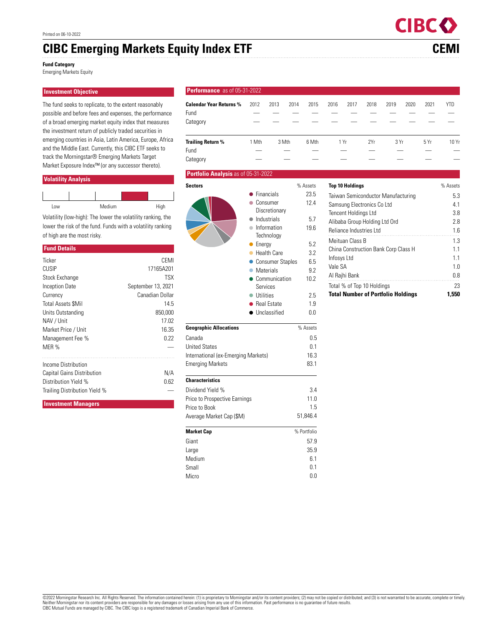# **CIBC Emerging Markets Equity Index ETF CEMI**

**Fund Category**

Emerging Markets Equity

# **Investment Objective**

The fund seeks to replicate, to the extent reasonably possible and before fees and expenses, the performance of a broad emerging market equity index that measures the investment return of publicly traded securities in emerging countries in Asia, Latin America, Europe, Africa and the Middle East. Currently, this CIBC ETF seeks to track the Morningstar® Emerging Markets Target Market Exposure Index™ (or any successor thereto).

## **Volatility Analysis**

| Low | Medium | High |
|-----|--------|------|

Volatility (low-high): The lower the volatility ranking, the lower the risk of the fund. Funds with a volatility ranking of high are the most risky.

#### **Fund Details**

| Ticker                            | CEMI               |
|-----------------------------------|--------------------|
| CUSIP                             | 17165A201          |
| Stock Exchange                    | <b>TSX</b>         |
| Inception Date                    | September 13, 2021 |
| Currency                          | Canadian Dollar    |
| <b>Total Assets SMil</b>          | 14.5               |
| Units Outstanding                 | 850,000            |
| NAV / Unit                        | 17.02              |
| Market Price / Unit               | 16.35              |
| Management Fee %                  | 0.22               |
| MER %                             |                    |
| Income Distribution               |                    |
| <b>Capital Gains Distribution</b> | N/A                |
| Distribution Yield %              | 0.62               |
| Trailing Distribution Yield %     |                    |

**Investment Managers**

## **Performance** as of 05-31-20

| <b>Calendar Year Returns %</b><br>Fund<br>Category | 2012                                                                   | 2013     | 2014<br>2015                                                            | 2016                                                                             | 2017          | 2018 | 2020<br>2019 | 2021       | <b>YTD</b> |  |
|----------------------------------------------------|------------------------------------------------------------------------|----------|-------------------------------------------------------------------------|----------------------------------------------------------------------------------|---------------|------|--------------|------------|------------|--|
| <b>Trailing Return %</b>                           | 1 Mth                                                                  | 3 Mth    | 6 Mth                                                                   | 1 Yr                                                                             |               | 2Yr  | 3 Yr         | 5 Yr       | 10 Yr      |  |
| Fund                                               |                                                                        |          |                                                                         |                                                                                  |               |      |              |            |            |  |
| Category                                           |                                                                        |          |                                                                         |                                                                                  |               |      |              |            |            |  |
| Portfolio Analysis as of 05-31-2022                |                                                                        |          |                                                                         |                                                                                  |               |      |              |            |            |  |
| <b>Sectors</b>                                     |                                                                        | % Assets | <b>Top 10 Holdings</b>                                                  |                                                                                  |               |      |              | % Assets   |            |  |
|                                                    | $\bullet$ Financials<br>• Consumer<br>Discretionary                    |          | 23.5                                                                    | Taiwan Semiconductor Manufacturing<br>Samsung Electronics Co Ltd                 |               |      |              | 5.3        |            |  |
|                                                    |                                                                        |          | 12.4                                                                    |                                                                                  |               |      |              | 4.1        |            |  |
|                                                    | $\bullet$ Industrials                                                  |          | 5.7                                                                     | Tencent Holdings Ltd<br>Alibaba Group Holding Ltd Ord<br>Reliance Industries Ltd |               |      |              | 3.8        |            |  |
|                                                    | • Information                                                          |          | 19.6                                                                    |                                                                                  |               |      |              | 2.8<br>1.6 |            |  |
|                                                    | Technology                                                             |          |                                                                         |                                                                                  |               |      |              |            |            |  |
|                                                    | $\bullet$ Energy<br>● Health Care<br>• Consumer Staples<br>• Materials |          | 5.2                                                                     | Meituan Class B                                                                  |               |      |              |            | 1.3        |  |
|                                                    |                                                                        |          | 3.2                                                                     | China Construction Bank Corp Class H<br>Infosys Ltd                              |               |      |              | 1.1        |            |  |
|                                                    |                                                                        |          | 6.5                                                                     | Vale SA                                                                          |               |      |              |            | 1.1<br>1.0 |  |
|                                                    |                                                                        |          | 9.2                                                                     |                                                                                  | Al Rajhi Bank |      |              |            | 0.8        |  |
|                                                    | • Communication                                                        |          | 10.2                                                                    |                                                                                  |               |      |              |            | 23         |  |
|                                                    | Services<br>• Utilities                                                | 2.5      | Total % of Top 10 Holdings<br><b>Total Number of Portfolio Holdings</b> |                                                                                  |               |      | 1,550        |            |            |  |
|                                                    | ● Real Estate                                                          |          | 1.9                                                                     |                                                                                  |               |      |              |            |            |  |
|                                                    | • Unclassified                                                         |          | 0.0                                                                     |                                                                                  |               |      |              |            |            |  |
| <b>Geographic Allocations</b>                      |                                                                        |          | % Assets                                                                |                                                                                  |               |      |              |            |            |  |
| Canada                                             |                                                                        |          | 0.5                                                                     |                                                                                  |               |      |              |            |            |  |
| <b>United States</b>                               |                                                                        |          | 0.1                                                                     |                                                                                  |               |      |              |            |            |  |
| International (ex-Emerging Markets)                |                                                                        |          | 16.3                                                                    |                                                                                  |               |      |              |            |            |  |
| <b>Emerging Markets</b>                            |                                                                        | 83.1     |                                                                         |                                                                                  |               |      |              |            |            |  |
| <b>Characteristics</b>                             |                                                                        |          |                                                                         |                                                                                  |               |      |              |            |            |  |
| Dividend Yield %                                   |                                                                        |          |                                                                         |                                                                                  |               |      |              |            |            |  |
| Price to Prospective Earnings                      |                                                                        |          |                                                                         |                                                                                  |               |      |              |            |            |  |
| Price to Book                                      |                                                                        |          | 1.5                                                                     |                                                                                  |               |      |              |            |            |  |
| Average Market Cap (\$M)                           |                                                                        |          | 51,846.4                                                                |                                                                                  |               |      |              |            |            |  |
| <b>Market Cap</b>                                  | % Portfolio                                                            |          |                                                                         |                                                                                  |               |      |              |            |            |  |
| Giant                                              | 57.9                                                                   |          |                                                                         |                                                                                  |               |      |              |            |            |  |
| Large                                              |                                                                        | 35.9     |                                                                         |                                                                                  |               |      |              |            |            |  |
| Medium                                             |                                                                        |          | 6.1                                                                     |                                                                                  |               |      |              |            |            |  |

Small **Definition** Contract Contract Contract Contract Contract Contract Contract Contract Contract Contract Contract Contract Contract Contract Contract Contract Contract Contract Contract Contract Contract Contract Contr Micro 0.0